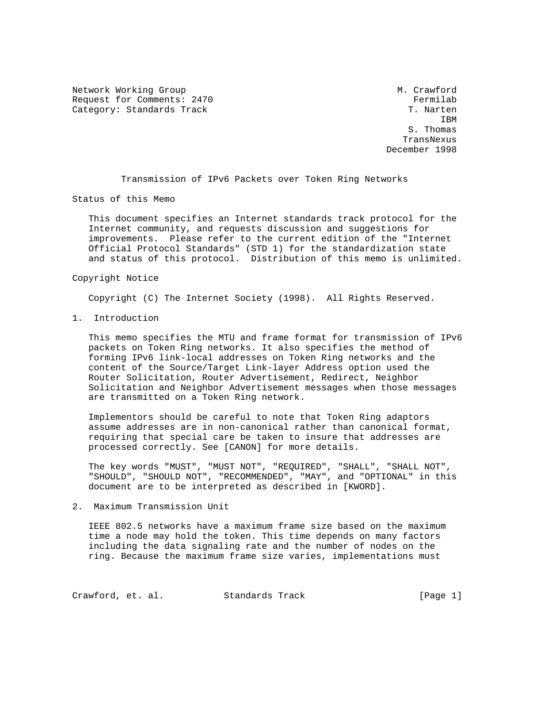Network Working Group Method M. Crawford Request for Comments: 2470<br>Category: Standards Track Fermilab Research of the Standards Track Category: Standards Track

**IBM**  S. Thomas TransNexus December 1998

Transmission of IPv6 Packets over Token Ring Networks

Status of this Memo

 This document specifies an Internet standards track protocol for the Internet community, and requests discussion and suggestions for improvements. Please refer to the current edition of the "Internet Official Protocol Standards" (STD 1) for the standardization state and status of this protocol. Distribution of this memo is unlimited.

## Copyright Notice

Copyright (C) The Internet Society (1998). All Rights Reserved.

1. Introduction

 This memo specifies the MTU and frame format for transmission of IPv6 packets on Token Ring networks. It also specifies the method of forming IPv6 link-local addresses on Token Ring networks and the content of the Source/Target Link-layer Address option used the Router Solicitation, Router Advertisement, Redirect, Neighbor Solicitation and Neighbor Advertisement messages when those messages are transmitted on a Token Ring network.

 Implementors should be careful to note that Token Ring adaptors assume addresses are in non-canonical rather than canonical format, requiring that special care be taken to insure that addresses are processed correctly. See [CANON] for more details.

 The key words "MUST", "MUST NOT", "REQUIRED", "SHALL", "SHALL NOT", "SHOULD", "SHOULD NOT", "RECOMMENDED", "MAY", and "OPTIONAL" in this document are to be interpreted as described in [KWORD].

2. Maximum Transmission Unit

 IEEE 802.5 networks have a maximum frame size based on the maximum time a node may hold the token. This time depends on many factors including the data signaling rate and the number of nodes on the ring. Because the maximum frame size varies, implementations must

Crawford, et. al. Standards Track [Page 1]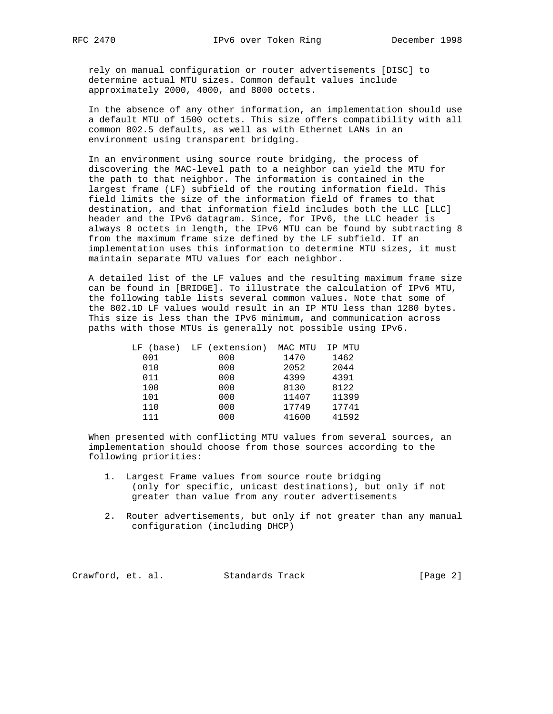rely on manual configuration or router advertisements [DISC] to determine actual MTU sizes. Common default values include approximately 2000, 4000, and 8000 octets.

 In the absence of any other information, an implementation should use a default MTU of 1500 octets. This size offers compatibility with all common 802.5 defaults, as well as with Ethernet LANs in an environment using transparent bridging.

 In an environment using source route bridging, the process of discovering the MAC-level path to a neighbor can yield the MTU for the path to that neighbor. The information is contained in the largest frame (LF) subfield of the routing information field. This field limits the size of the information field of frames to that destination, and that information field includes both the LLC [LLC] header and the IPv6 datagram. Since, for IPv6, the LLC header is always 8 octets in length, the IPv6 MTU can be found by subtracting 8 from the maximum frame size defined by the LF subfield. If an implementation uses this information to determine MTU sizes, it must maintain separate MTU values for each neighbor.

 A detailed list of the LF values and the resulting maximum frame size can be found in [BRIDGE]. To illustrate the calculation of IPv6 MTU, the following table lists several common values. Note that some of the 802.1D LF values would result in an IP MTU less than 1280 bytes. This size is less than the IPv6 minimum, and communication across paths with those MTUs is generally not possible using IPv6.

|     | LF (base) LF (extension) | MAC MTU | IP MTU |
|-----|--------------------------|---------|--------|
| 001 | 000                      | 1470    | 1462   |
| 010 | 000                      | 2052    | 2044   |
| 011 | 000                      | 4399    | 4391   |
| 100 | 000                      | 8130    | 8122   |
| 101 | 000                      | 11407   | 11399  |
| 110 | 000                      | 17749   | 17741  |
| 111 | 000                      | 41600   | 41592  |
|     |                          |         |        |

 When presented with conflicting MTU values from several sources, an implementation should choose from those sources according to the following priorities:

- 1. Largest Frame values from source route bridging (only for specific, unicast destinations), but only if not greater than value from any router advertisements
- 2. Router advertisements, but only if not greater than any manual configuration (including DHCP)

Crawford, et. al. Standards Track [Page 2]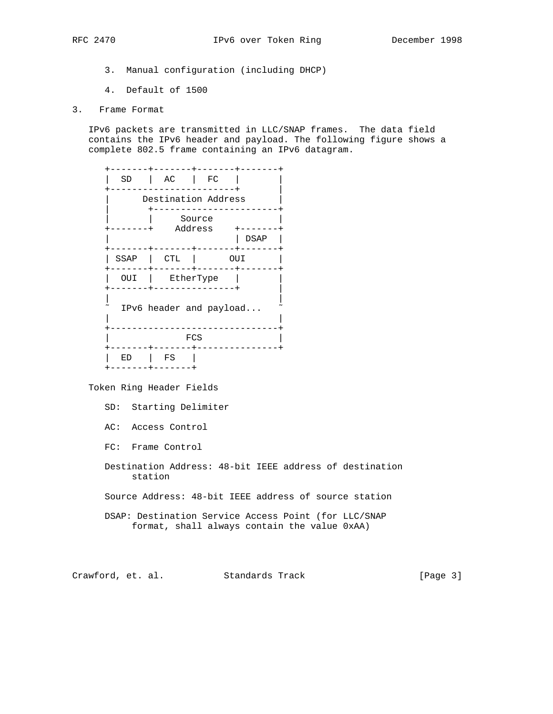- 3. Manual configuration (including DHCP)
- 4. Default of 1500
- 3. Frame Format

 IPv6 packets are transmitted in LLC/SNAP frames. The data field contains the IPv6 header and payload. The following figure shows a complete 802.5 frame containing an IPv6 datagram.

| SD<br>$\sim$ 1. | AC   FC                 |      |
|-----------------|-------------------------|------|
|                 | Destination Address     |      |
|                 | Source<br>Address       |      |
|                 |                         | DSAP |
| SSAP   CTL      |                         | OUI  |
| OUI             | EtherType               |      |
|                 | IPv6 header and payload |      |
|                 | FCS                     |      |
| ED              | FS                      |      |
|                 |                         |      |

Token Ring Header Fields

SD: Starting Delimiter

- AC: Access Control
- FC: Frame Control
- Destination Address: 48-bit IEEE address of destination station
- Source Address: 48-bit IEEE address of source station
- DSAP: Destination Service Access Point (for LLC/SNAP format, shall always contain the value 0xAA)

Crawford, et. al. Standards Track [Page 3]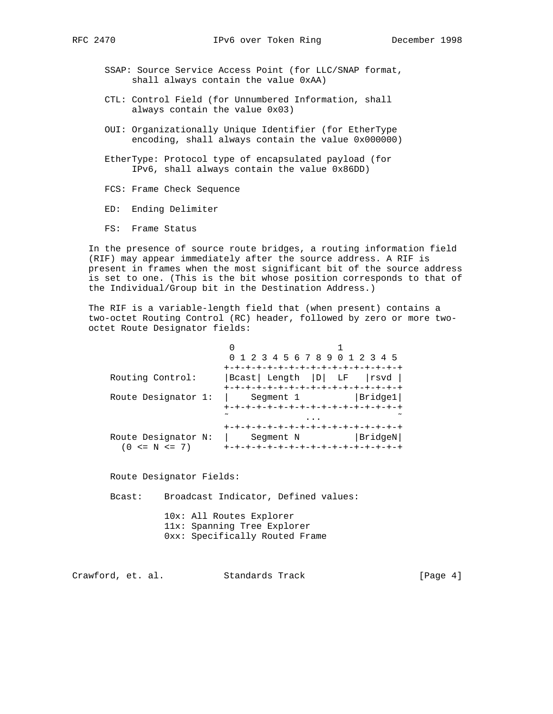- - SSAP: Source Service Access Point (for LLC/SNAP format, shall always contain the value 0xAA)
	- CTL: Control Field (for Unnumbered Information, shall always contain the value 0x03)
	- OUI: Organizationally Unique Identifier (for EtherType encoding, shall always contain the value 0x000000)
	- EtherType: Protocol type of encapsulated payload (for IPv6, shall always contain the value 0x86DD)
	- FCS: Frame Check Sequence
	- ED: Ending Delimiter
	- FS: Frame Status

 In the presence of source route bridges, a routing information field (RIF) may appear immediately after the source address. A RIF is present in frames when the most significant bit of the source address is set to one. (This is the bit whose position corresponds to that of the Individual/Group bit in the Destination Address.)

 The RIF is a variable-length field that (when present) contains a two-octet Routing Control (RC) header, followed by zero or more two octet Route Designator fields:

|                     | 0 1 2 3 4 5 6 7 8 9 0 1 2 3 4 5     |         |
|---------------------|-------------------------------------|---------|
|                     | +-+-+-+-+-+-+-+-+-+-+-+-+-+-+-+     |         |
| Routing Control:    | Bcast  Length  D  LF  rsvd          |         |
|                     | +-+-+-+-+-+-+-+-+-+-+-+-+-+-+-+-+-+ |         |
| Route Designator 1: | Segment 1                           | Bridge1 |
|                     | +-+-+-+-+-+-+-+-+-+-+-+-+-+-+-+-+-+ |         |
|                     |                                     |         |
|                     |                                     |         |
| Route Designator N: | Segment N                           | BridgeN |
| $(0 \le N \le 7)$   |                                     |         |

Route Designator Fields:

Bcast: Broadcast Indicator, Defined values:

 10x: All Routes Explorer 11x: Spanning Tree Explorer 0xx: Specifically Routed Frame

Crawford, et. al. Standards Track [Page 4]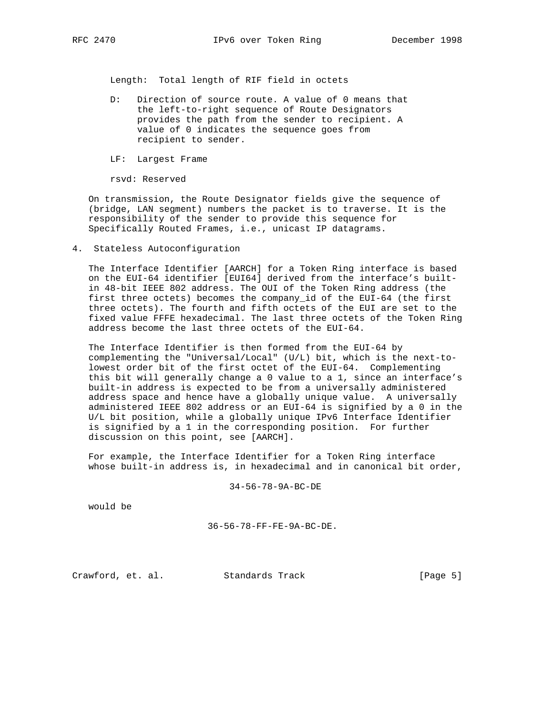Length: Total length of RIF field in octets

- D: Direction of source route. A value of 0 means that the left-to-right sequence of Route Designators provides the path from the sender to recipient. A value of 0 indicates the sequence goes from recipient to sender.
- LF: Largest Frame

rsvd: Reserved

 On transmission, the Route Designator fields give the sequence of (bridge, LAN segment) numbers the packet is to traverse. It is the responsibility of the sender to provide this sequence for Specifically Routed Frames, i.e., unicast IP datagrams.

4. Stateless Autoconfiguration

 The Interface Identifier [AARCH] for a Token Ring interface is based on the EUI-64 identifier [EUI64] derived from the interface's built in 48-bit IEEE 802 address. The OUI of the Token Ring address (the first three octets) becomes the company\_id of the EUI-64 (the first three octets). The fourth and fifth octets of the EUI are set to the fixed value FFFE hexadecimal. The last three octets of the Token Ring address become the last three octets of the EUI-64.

 The Interface Identifier is then formed from the EUI-64 by complementing the "Universal/Local" (U/L) bit, which is the next-to lowest order bit of the first octet of the EUI-64. Complementing this bit will generally change a 0 value to a 1, since an interface's built-in address is expected to be from a universally administered address space and hence have a globally unique value. A universally administered IEEE 802 address or an EUI-64 is signified by a 0 in the U/L bit position, while a globally unique IPv6 Interface Identifier is signified by a 1 in the corresponding position. For further discussion on this point, see [AARCH].

 For example, the Interface Identifier for a Token Ring interface whose built-in address is, in hexadecimal and in canonical bit order,

34-56-78-9A-BC-DE

would be

$$
36-56-78-FF-FE-9A-BC-DE.
$$

Crawford, et. al. Standards Track [Page 5]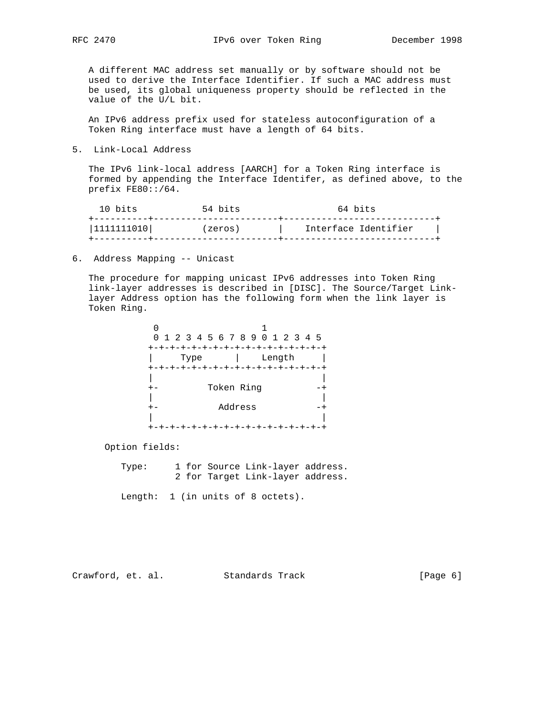A different MAC address set manually or by software should not be used to derive the Interface Identifier. If such a MAC address must be used, its global uniqueness property should be reflected in the value of the U/L bit.

 An IPv6 address prefix used for stateless autoconfiguration of a Token Ring interface must have a length of 64 bits.

5. Link-Local Address

 The IPv6 link-local address [AARCH] for a Token Ring interface is formed by appending the Interface Identifer, as defined above, to the prefix FE80::/64.

| 1111111010 <br>Interface Identifier<br>(zeros) | 10 bits | 54 bits | 64 bits |
|------------------------------------------------|---------|---------|---------|
|                                                |         |         |         |

6. Address Mapping -- Unicast

 The procedure for mapping unicast IPv6 addresses into Token Ring link-layer addresses is described in [DISC]. The Source/Target Link layer Address option has the following form when the link layer is Token Ring.

|      |            | 0 1 2 3 4 5 6 7 8 9 0 1 2 3 4 5     |  |
|------|------------|-------------------------------------|--|
|      |            | +-+-+-+-+-+-+-+-+-+-+-+-+-+-+-+-+-+ |  |
| Type |            | Length                              |  |
|      |            | +-+-+-+-+-+-+-+-+-+-+-+-+-+-+-+-+   |  |
|      |            |                                     |  |
|      | Token Ring |                                     |  |
|      |            |                                     |  |
|      | Address    |                                     |  |
|      |            |                                     |  |
|      |            |                                     |  |

Option fields:

| Type: |  | 1 for Source Link-layer address. |  |
|-------|--|----------------------------------|--|
|       |  | 2 for Target Link-layer address. |  |

Length: 1 (in units of 8 octets).

Crawford, et. al. Standards Track [Page 6]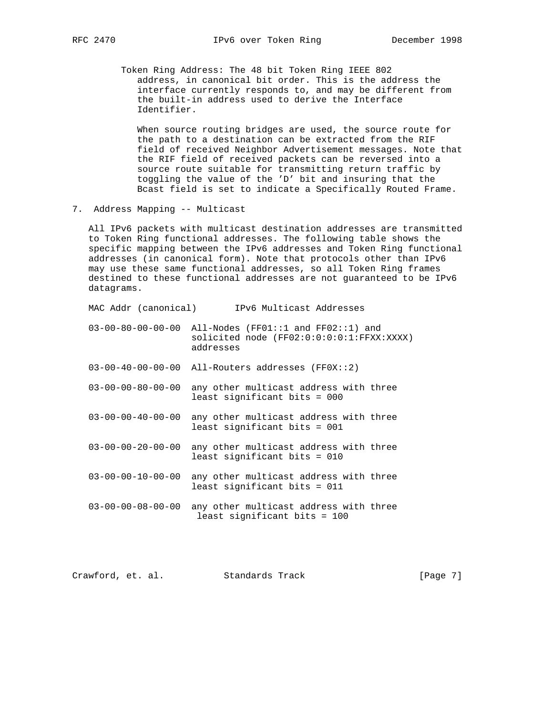Token Ring Address: The 48 bit Token Ring IEEE 802 address, in canonical bit order. This is the address the interface currently responds to, and may be different from the built-in address used to derive the Interface Identifier.

 When source routing bridges are used, the source route for the path to a destination can be extracted from the RIF field of received Neighbor Advertisement messages. Note that the RIF field of received packets can be reversed into a source route suitable for transmitting return traffic by toggling the value of the 'D' bit and insuring that the Bcast field is set to indicate a Specifically Routed Frame.

7. Address Mapping -- Multicast

 All IPv6 packets with multicast destination addresses are transmitted to Token Ring functional addresses. The following table shows the specific mapping between the IPv6 addresses and Token Ring functional addresses (in canonical form). Note that protocols other than IPv6 may use these same functional addresses, so all Token Ring frames destined to these functional addresses are not guaranteed to be IPv6 datagrams.

| MAC Addr (canonical)          | IPv6 Multicast Addresses                                                                         |
|-------------------------------|--------------------------------------------------------------------------------------------------|
| $03 - 00 - 80 - 00 - 00 - 00$ | All-Nodes (FF01::1 and $FF02::1$ ) and<br>solicited node (FF02:0:0:0:0:1:FFXX:XXXX)<br>addresses |
| $03 - 00 - 40 - 00 - 00 - 00$ | All-Routers addresses $(FF0X:2)$                                                                 |
| $03 - 00 - 00 - 80 - 00 - 00$ | any other multicast address with three<br>least significant bits = 000                           |
| $03 - 00 - 00 - 40 - 00 - 00$ | any other multicast address with three<br>least significant bits = 001                           |
| $03 - 00 - 00 - 20 - 00 - 00$ | any other multicast address with three<br>least significant bits = 010                           |
| $03 - 00 - 00 - 10 - 00 - 00$ | any other multicast address with three<br>least significant bits = 011                           |
| $03 - 00 - 00 - 08 - 00 - 00$ | any other multicast address with three<br>least significant bits = 100                           |
|                               |                                                                                                  |

Crawford, et. al. Standards Track [Page 7]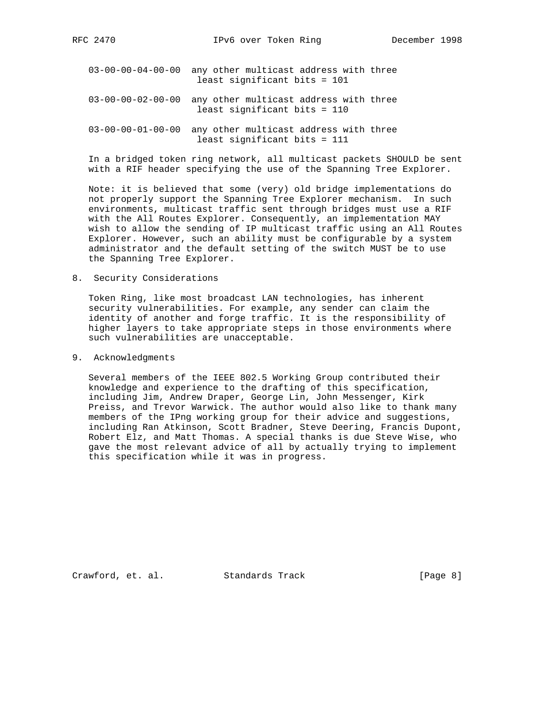RFC 2470 **IPv6** over Token Ring December 1998

- 03-00-00-04-00-00 any other multicast address with three least significant bits = 101
- 03-00-00-02-00-00 any other multicast address with three least significant bits = 110
- 03-00-00-01-00-00 any other multicast address with three least significant bits = 111

 In a bridged token ring network, all multicast packets SHOULD be sent with a RIF header specifying the use of the Spanning Tree Explorer.

 Note: it is believed that some (very) old bridge implementations do not properly support the Spanning Tree Explorer mechanism. In such environments, multicast traffic sent through bridges must use a RIF with the All Routes Explorer. Consequently, an implementation MAY wish to allow the sending of IP multicast traffic using an All Routes Explorer. However, such an ability must be configurable by a system administrator and the default setting of the switch MUST be to use the Spanning Tree Explorer.

8. Security Considerations

 Token Ring, like most broadcast LAN technologies, has inherent security vulnerabilities. For example, any sender can claim the identity of another and forge traffic. It is the responsibility of higher layers to take appropriate steps in those environments where such vulnerabilities are unacceptable.

9. Acknowledgments

 Several members of the IEEE 802.5 Working Group contributed their knowledge and experience to the drafting of this specification, including Jim, Andrew Draper, George Lin, John Messenger, Kirk Preiss, and Trevor Warwick. The author would also like to thank many members of the IPng working group for their advice and suggestions, including Ran Atkinson, Scott Bradner, Steve Deering, Francis Dupont, Robert Elz, and Matt Thomas. A special thanks is due Steve Wise, who gave the most relevant advice of all by actually trying to implement this specification while it was in progress.

Crawford, et. al. Standards Track [Page 8]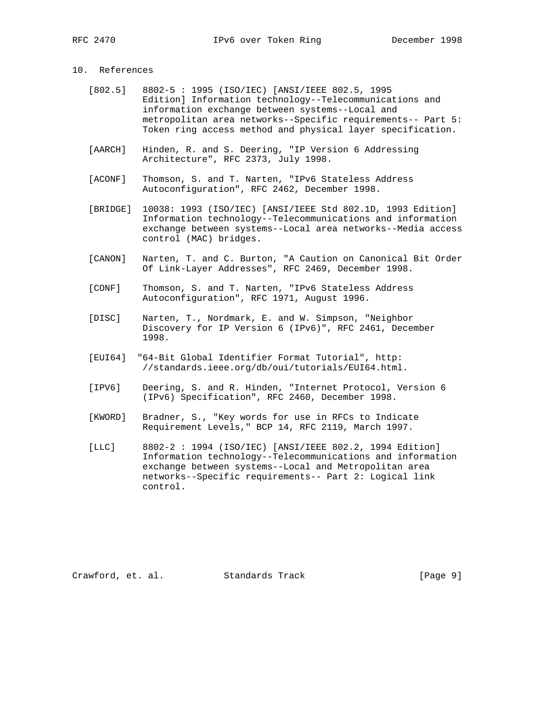## 10. References

- [802.5] 8802-5 : 1995 (ISO/IEC) [ANSI/IEEE 802.5, 1995 Edition] Information technology--Telecommunications and information exchange between systems--Local and metropolitan area networks--Specific requirements-- Part 5: Token ring access method and physical layer specification.
- [AARCH] Hinden, R. and S. Deering, "IP Version 6 Addressing Architecture", RFC 2373, July 1998.
- [ACONF] Thomson, S. and T. Narten, "IPv6 Stateless Address Autoconfiguration", RFC 2462, December 1998.
- [BRIDGE] 10038: 1993 (ISO/IEC) [ANSI/IEEE Std 802.1D, 1993 Edition] Information technology--Telecommunications and information exchange between systems--Local area networks--Media access control (MAC) bridges.
- [CANON] Narten, T. and C. Burton, "A Caution on Canonical Bit Order Of Link-Layer Addresses", RFC 2469, December 1998.
- [CONF] Thomson, S. and T. Narten, "IPv6 Stateless Address Autoconfiguration", RFC 1971, August 1996.
- [DISC] Narten, T., Nordmark, E. and W. Simpson, "Neighbor Discovery for IP Version 6 (IPv6)", RFC 2461, December 1998.
- [EUI64] "64-Bit Global Identifier Format Tutorial", http: //standards.ieee.org/db/oui/tutorials/EUI64.html.
- [IPV6] Deering, S. and R. Hinden, "Internet Protocol, Version 6 (IPv6) Specification", RFC 2460, December 1998.
- [KWORD] Bradner, S., "Key words for use in RFCs to Indicate Requirement Levels," BCP 14, RFC 2119, March 1997.
- [LLC] 8802-2 : 1994 (ISO/IEC) [ANSI/IEEE 802.2, 1994 Edition] Information technology--Telecommunications and information exchange between systems--Local and Metropolitan area networks--Specific requirements-- Part 2: Logical link control.

Crawford, et. al. Standards Track [Page 9]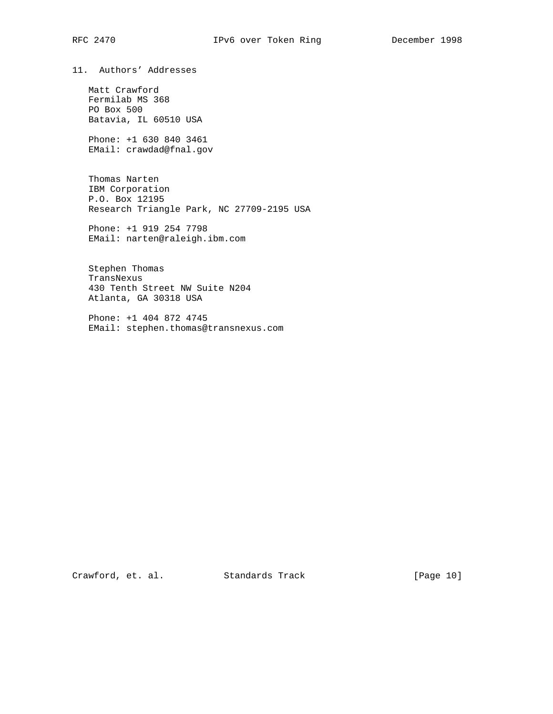11. Authors' Addresses

 Matt Crawford Fermilab MS 368 PO Box 500 Batavia, IL 60510 USA

 Phone: +1 630 840 3461 EMail: crawdad@fnal.gov

 Thomas Narten IBM Corporation P.O. Box 12195 Research Triangle Park, NC 27709-2195 USA

 Phone: +1 919 254 7798 EMail: narten@raleigh.ibm.com

 Stephen Thomas TransNexus 430 Tenth Street NW Suite N204 Atlanta, GA 30318 USA

 Phone: +1 404 872 4745 EMail: stephen.thomas@transnexus.com

Crawford, et. al. Standards Track [Page 10]